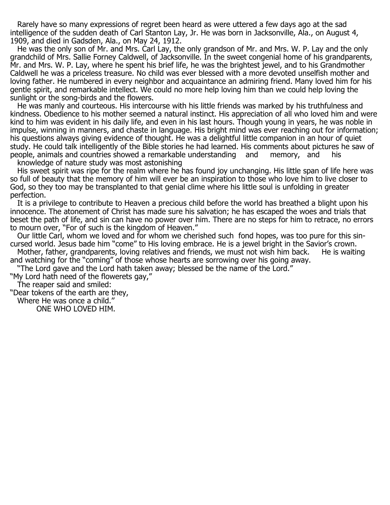Rarely have so many expressions of regret been heard as were uttered a few days ago at the sad intelligence of the sudden death of Carl Stanton Lay, Jr. He was born in Jacksonville, Ala., on August 4, 1909, and died in Gadsden, Ala., on May 24, 1912.

 He was the only son of Mr. and Mrs. Carl Lay, the only grandson of Mr. and Mrs. W. P. Lay and the only grandchild of Mrs. Sallie Forney Caldwell, of Jacksonville. In the sweet congenial home of his grandparents, Mr. and Mrs. W. P. Lay, where he spent his brief life, he was the brightest jewel, and to his Grandmother Caldwell he was a priceless treasure. No child was ever blessed with a more devoted unselfish mother and loving father. He numbered in every neighbor and acquaintance an admiring friend. Many loved him for his gentle spirit, and remarkable intellect. We could no more help loving him than we could help loving the sunlight or the song-birds and the flowers.

 He was manly and courteous. His intercourse with his little friends was marked by his truthfulness and kindness. Obedience to his mother seemed a natural instinct. His appreciation of all who loved him and were kind to him was evident in his daily life, and even in his last hours. Though young in years, he was noble in impulse, winning in manners, and chaste in language. His bright mind was ever reaching out for information; his questions always giving evidence of thought. He was a delightful little companion in an hour of quiet study. He could talk intelligently of the Bible stories he had learned. His comments about pictures he saw of people, animals and countries showed a remarkable understanding and memory, and his knowledge of nature study was most astonishing

 His sweet spirit was ripe for the realm where he has found joy unchanging. His little span of life here was so full of beauty that the memory of him will ever be an inspiration to those who love him to live closer to God, so they too may be transplanted to that genial clime where his little soul is unfolding in greater perfection.

 It is a privilege to contribute to Heaven a precious child before the world has breathed a blight upon his innocence. The atonement of Christ has made sure his salvation; he has escaped the woes and trials that beset the path of life, and sin can have no power over him. There are no steps for him to retrace, no errors to mourn over, "For of such is the kingdom of Heaven."

 Our little Carl, whom we loved and for whom we cherished such fond hopes, was too pure for this sincursed world. Jesus bade him "come" to His loving embrace. He is a jewel bright in the Savior's crown.

Mother, father, grandparents, loving relatives and friends, we must not wish him back. and watching for the "coming" of those whose hearts are sorrowing over his going away.

"The Lord gave and the Lord hath taken away; blessed be the name of the Lord."

"My Lord hath need of the flowerets gay,"

The reaper said and smiled:

"Dear tokens of the earth are they,

Where He was once a child.''

ONE WHO LOVED HIM.